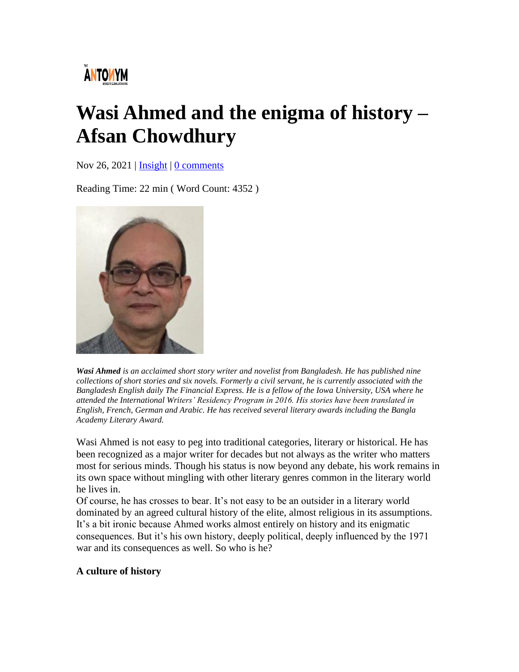# **ÄNTOWYM**

# **Wasi Ahmed and the enigma of history – Afsan Chowdhury**

Nov 26, 2021 | [Insight](https://www.theantonymmag.com/category/insight/) | [0 comments](https://www.theantonymmag.com/wasi-ahmed-and-the-enigma-of-history-afsan-chowdhury/#respond)

Reading Time: 22 min ( Word Count: 4352 )



*Wasi Ahmed is an acclaimed short story writer and novelist from Bangladesh. He has published nine collections of short stories and six novels. Formerly a civil servant, he is currently associated with the Bangladesh English daily The Financial Express. He is a fellow of the Iowa University, USA where he attended the International Writers' Residency Program in 2016. His stories have been translated in English, French, German and Arabic. He has received several literary awards including the Bangla Academy Literary Award.*

Wasi Ahmed is not easy to peg into traditional categories, literary or historical. He has been recognized as a major writer for decades but not always as the writer who matters most for serious minds. Though his status is now beyond any debate, his work remains in its own space without mingling with other literary genres common in the literary world he lives in.

Of course, he has crosses to bear. It's not easy to be an outsider in a literary world dominated by an agreed cultural history of the elite, almost religious in its assumptions. It's a bit ironic because Ahmed works almost entirely on history and its enigmatic consequences. But it's his own history, deeply political, deeply influenced by the 1971 war and its consequences as well. So who is he?

### **A culture of history**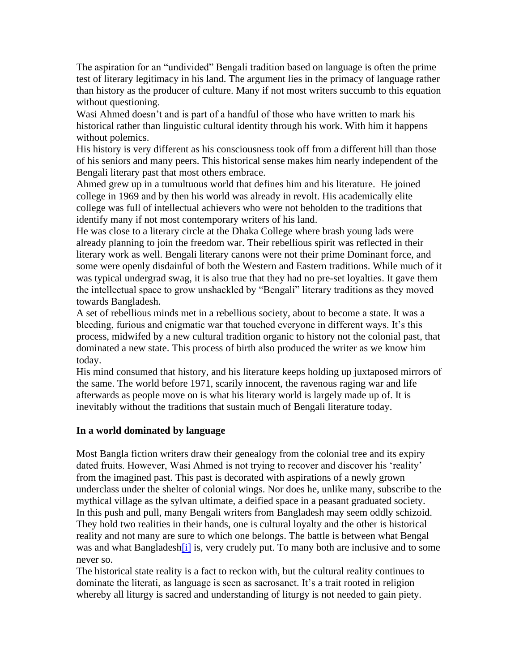The aspiration for an "undivided" Bengali tradition based on language is often the prime test of literary legitimacy in his land. The argument lies in the primacy of language rather than history as the producer of culture. Many if not most writers succumb to this equation without questioning.

Wasi Ahmed doesn't and is part of a handful of those who have written to mark his historical rather than linguistic cultural identity through his work. With him it happens without polemics.

His history is very different as his consciousness took off from a different hill than those of his seniors and many peers. This historical sense makes him nearly independent of the Bengali literary past that most others embrace.

Ahmed grew up in a tumultuous world that defines him and his literature. He joined college in 1969 and by then his world was already in revolt. His academically elite college was full of intellectual achievers who were not beholden to the traditions that identify many if not most contemporary writers of his land.

He was close to a literary circle at the Dhaka College where brash young lads were already planning to join the freedom war. Their rebellious spirit was reflected in their literary work as well. Bengali literary canons were not their prime Dominant force, and some were openly disdainful of both the Western and Eastern traditions. While much of it was typical undergrad swag, it is also true that they had no pre-set loyalties. It gave them the intellectual space to grow unshackled by "Bengali" literary traditions as they moved towards Bangladesh.

A set of rebellious minds met in a rebellious society, about to become a state. It was a bleeding, furious and enigmatic war that touched everyone in different ways. It's this process, midwifed by a new cultural tradition organic to history not the colonial past, that dominated a new state. This process of birth also produced the writer as we know him today.

His mind consumed that history, and his literature keeps holding up juxtaposed mirrors of the same. The world before 1971, scarily innocent, the ravenous raging war and life afterwards as people move on is what his literary world is largely made up of. It is inevitably without the traditions that sustain much of Bengali literature today.

#### **In a world dominated by language**

Most Bangla fiction writers draw their genealogy from the colonial tree and its expiry dated fruits. However, Wasi Ahmed is not trying to recover and discover his 'reality' from the imagined past. This past is decorated with aspirations of a newly grown underclass under the shelter of colonial wings. Nor does he, unlike many, subscribe to the mythical village as the sylvan ultimate, a deified space in a peasant graduated society. In this push and pull, many Bengali writers from Bangladesh may seem oddly schizoid. They hold two realities in their hands, one is cultural loyalty and the other is historical reality and not many are sure to which one belongs. The battle is between what Bengal was and what Bangladesh<sup>[i]</sup> is, very crudely put. To many both are inclusive and to some never so.

The historical state reality is a fact to reckon with, but the cultural reality continues to dominate the literati, as language is seen as sacrosanct. It's a trait rooted in religion whereby all liturgy is sacred and understanding of liturgy is not needed to gain piety.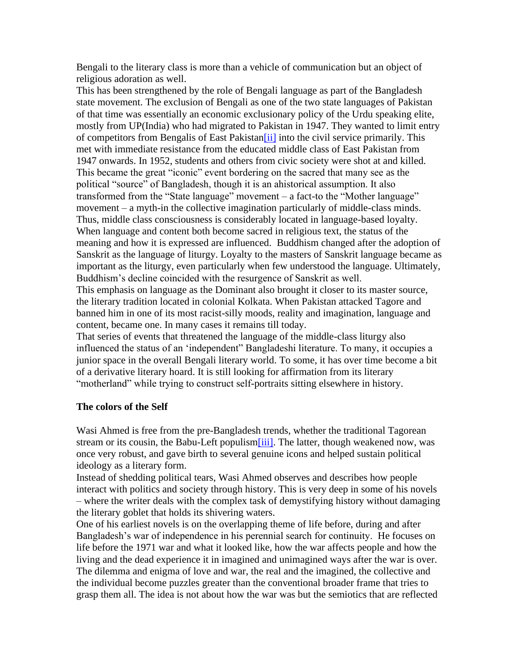Bengali to the literary class is more than a vehicle of communication but an object of religious adoration as well.

This has been strengthened by the role of Bengali language as part of the Bangladesh state movement. The exclusion of Bengali as one of the two state languages of Pakistan of that time was essentially an economic exclusionary policy of the Urdu speaking elite, mostly from UP(India) who had migrated to Pakistan in 1947. They wanted to limit entry of competitors from Bengalis of East Pakistan<sup>[ii]</sup> into the civil service primarily. This met with immediate resistance from the educated middle class of East Pakistan from 1947 onwards. In 1952, students and others from civic society were shot at and killed. This became the great "iconic" event bordering on the sacred that many see as the political "source" of Bangladesh, though it is an ahistorical assumption. It also transformed from the "State language" movement – a fact-to the "Mother language" movement – a myth-in the collective imagination particularly of middle-class minds. Thus, middle class consciousness is considerably located in language-based loyalty. When language and content both become sacred in religious text, the status of the meaning and how it is expressed are influenced. Buddhism changed after the adoption of Sanskrit as the language of liturgy. Loyalty to the masters of Sanskrit language became as important as the liturgy, even particularly when few understood the language. Ultimately, Buddhism's decline coincided with the resurgence of Sanskrit as well.

This emphasis on language as the Dominant also brought it closer to its master source, the literary tradition located in colonial Kolkata. When Pakistan attacked Tagore and banned him in one of its most racist-silly moods, reality and imagination, language and content, became one. In many cases it remains till today.

That series of events that threatened the language of the middle-class liturgy also influenced the status of an 'independent" Bangladeshi literature. To many, it occupies a junior space in the overall Bengali literary world. To some, it has over time become a bit of a derivative literary hoard. It is still looking for affirmation from its literary "motherland" while trying to construct self-portraits sitting elsewhere in history.

#### **The colors of the Self**

Wasi Ahmed is free from the pre-Bangladesh trends, whether the traditional Tagorean stream or its cousin, the Babu-Left populism<sup>[iii]</sup>. The latter, though weakened now, was once very robust, and gave birth to several genuine icons and helped sustain political ideology as a literary form.

Instead of shedding political tears, Wasi Ahmed observes and describes how people interact with politics and society through history. This is very deep in some of his novels – where the writer deals with the complex task of demystifying history without damaging the literary goblet that holds its shivering waters.

One of his earliest novels is on the overlapping theme of life before, during and after Bangladesh's war of independence in his perennial search for continuity. He focuses on life before the 1971 war and what it looked like, how the war affects people and how the living and the dead experience it in imagined and unimagined ways after the war is over. The dilemma and enigma of love and war, the real and the imagined, the collective and the individual become puzzles greater than the conventional broader frame that tries to grasp them all. The idea is not about how the war was but the semiotics that are reflected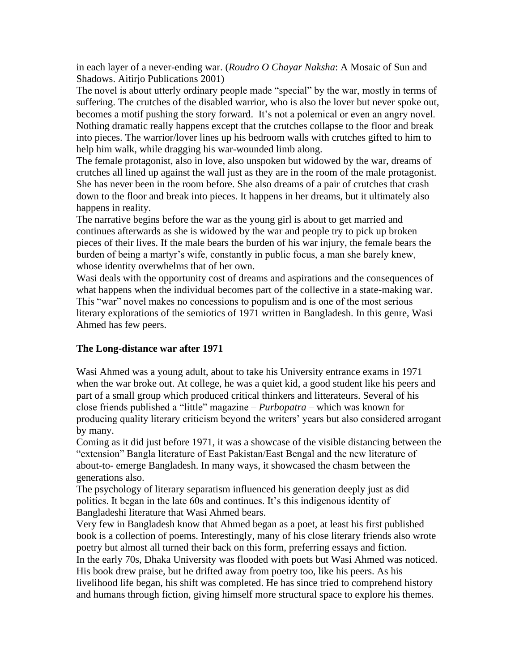in each layer of a never-ending war. (*Roudro O Chayar Naksha*: A Mosaic of Sun and Shadows. Aitirjo Publications 2001)

The novel is about utterly ordinary people made "special" by the war, mostly in terms of suffering. The crutches of the disabled warrior, who is also the lover but never spoke out, becomes a motif pushing the story forward. It's not a polemical or even an angry novel. Nothing dramatic really happens except that the crutches collapse to the floor and break into pieces. The warrior/lover lines up his bedroom walls with crutches gifted to him to help him walk, while dragging his war-wounded limb along.

The female protagonist, also in love, also unspoken but widowed by the war, dreams of crutches all lined up against the wall just as they are in the room of the male protagonist. She has never been in the room before. She also dreams of a pair of crutches that crash down to the floor and break into pieces. It happens in her dreams, but it ultimately also happens in reality.

The narrative begins before the war as the young girl is about to get married and continues afterwards as she is widowed by the war and people try to pick up broken pieces of their lives. If the male bears the burden of his war injury, the female bears the burden of being a martyr's wife, constantly in public focus, a man she barely knew, whose identity overwhelms that of her own.

Wasi deals with the opportunity cost of dreams and aspirations and the consequences of what happens when the individual becomes part of the collective in a state-making war. This "war" novel makes no concessions to populism and is one of the most serious literary explorations of the semiotics of 1971 written in Bangladesh. In this genre, Wasi Ahmed has few peers.

#### **The Long-distance war after 1971**

Wasi Ahmed was a young adult, about to take his University entrance exams in 1971 when the war broke out. At college, he was a quiet kid, a good student like his peers and part of a small group which produced critical thinkers and litterateurs. Several of his close friends published a "little" magazine – *Purbopatra* – which was known for producing quality literary criticism beyond the writers' years but also considered arrogant by many.

Coming as it did just before 1971, it was a showcase of the visible distancing between the "extension" Bangla literature of East Pakistan/East Bengal and the new literature of about-to- emerge Bangladesh. In many ways, it showcased the chasm between the generations also.

The psychology of literary separatism influenced his generation deeply just as did politics. It began in the late 60s and continues. It's this indigenous identity of Bangladeshi literature that Wasi Ahmed bears.

Very few in Bangladesh know that Ahmed began as a poet, at least his first published book is a collection of poems. Interestingly, many of his close literary friends also wrote poetry but almost all turned their back on this form, preferring essays and fiction. In the early 70s, Dhaka University was flooded with poets but Wasi Ahmed was noticed. His book drew praise, but he drifted away from poetry too, like his peers. As his livelihood life began, his shift was completed. He has since tried to comprehend history and humans through fiction, giving himself more structural space to explore his themes.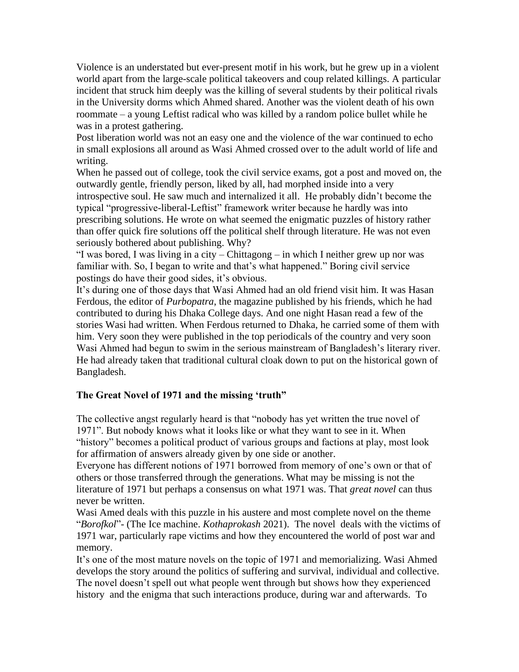Violence is an understated but ever-present motif in his work, but he grew up in a violent world apart from the large-scale political takeovers and coup related killings. A particular incident that struck him deeply was the killing of several students by their political rivals in the University dorms which Ahmed shared. Another was the violent death of his own roommate – a young Leftist radical who was killed by a random police bullet while he was in a protest gathering.

Post liberation world was not an easy one and the violence of the war continued to echo in small explosions all around as Wasi Ahmed crossed over to the adult world of life and writing.

When he passed out of college, took the civil service exams, got a post and moved on, the outwardly gentle, friendly person, liked by all, had morphed inside into a very introspective soul. He saw much and internalized it all. He probably didn't become the typical "progressive-liberal-Leftist" framework writer because he hardly was into prescribing solutions. He wrote on what seemed the enigmatic puzzles of history rather than offer quick fire solutions off the political shelf through literature. He was not even seriously bothered about publishing. Why?

"I was bored, I was living in a city – Chittagong – in which I neither grew up nor was familiar with. So, I began to write and that's what happened." Boring civil service postings do have their good sides, it's obvious.

It's during one of those days that Wasi Ahmed had an old friend visit him. It was Hasan Ferdous, the editor of *Purbopatra*, the magazine published by his friends, which he had contributed to during his Dhaka College days. And one night Hasan read a few of the stories Wasi had written. When Ferdous returned to Dhaka, he carried some of them with him. Very soon they were published in the top periodicals of the country and very soon Wasi Ahmed had begun to swim in the serious mainstream of Bangladesh's literary river. He had already taken that traditional cultural cloak down to put on the historical gown of Bangladesh.

### **The Great Novel of 1971 and the missing 'truth"**

The collective angst regularly heard is that "nobody has yet written the true novel of 1971". But nobody knows what it looks like or what they want to see in it. When "history" becomes a political product of various groups and factions at play, most look for affirmation of answers already given by one side or another.

Everyone has different notions of 1971 borrowed from memory of one's own or that of others or those transferred through the generations. What may be missing is not the literature of 1971 but perhaps a consensus on what 1971 was. That *great novel* can thus never be written.

Wasi Amed deals with this puzzle in his austere and most complete novel on the theme "*Borofkol*"- (The Ice machine. *Kothaprokash* 2021). The novel deals with the victims of 1971 war, particularly rape victims and how they encountered the world of post war and memory.

It's one of the most mature novels on the topic of 1971 and memorializing. Wasi Ahmed develops the story around the politics of suffering and survival, individual and collective. The novel doesn't spell out what people went through but shows how they experienced history and the enigma that such interactions produce, during war and afterwards. To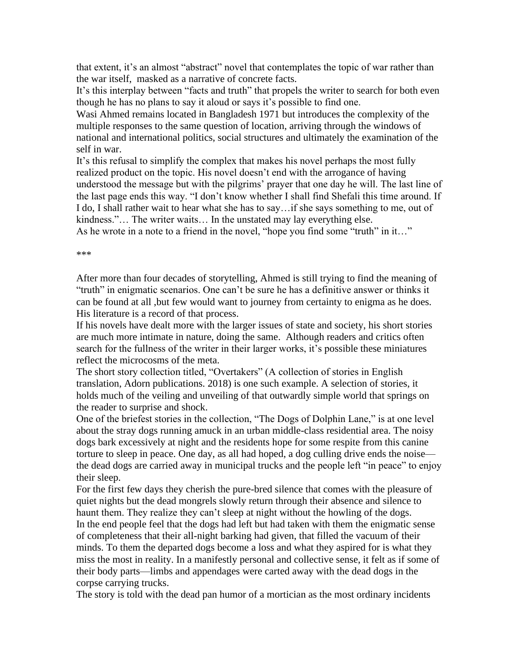that extent, it's an almost "abstract" novel that contemplates the topic of war rather than the war itself, masked as a narrative of concrete facts.

It's this interplay between "facts and truth" that propels the writer to search for both even though he has no plans to say it aloud or says it's possible to find one.

Wasi Ahmed remains located in Bangladesh 1971 but introduces the complexity of the multiple responses to the same question of location, arriving through the windows of national and international politics, social structures and ultimately the examination of the self in war.

It's this refusal to simplify the complex that makes his novel perhaps the most fully realized product on the topic. His novel doesn't end with the arrogance of having understood the message but with the pilgrims' prayer that one day he will. The last line of the last page ends this way. "I don't know whether I shall find Shefali this time around. If I do, I shall rather wait to hear what she has to say…if she says something to me, out of kindness."… The writer waits… In the unstated may lay everything else.

As he wrote in a note to a friend in the novel, "hope you find some "truth" in it…"

\*\*\*

After more than four decades of storytelling, Ahmed is still trying to find the meaning of "truth" in enigmatic scenarios. One can't be sure he has a definitive answer or thinks it can be found at all ,but few would want to journey from certainty to enigma as he does. His literature is a record of that process.

If his novels have dealt more with the larger issues of state and society, his short stories are much more intimate in nature, doing the same. Although readers and critics often search for the fullness of the writer in their larger works, it's possible these miniatures reflect the microcosms of the meta.

The short story collection titled, "Overtakers" (A collection of stories in English translation, Adorn publications. 2018) is one such example. A selection of stories, it holds much of the veiling and unveiling of that outwardly simple world that springs on the reader to surprise and shock.

One of the briefest stories in the collection, "The Dogs of Dolphin Lane," is at one level about the stray dogs running amuck in an urban middle-class residential area. The noisy dogs bark excessively at night and the residents hope for some respite from this canine torture to sleep in peace. One day, as all had hoped, a dog culling drive ends the noise the dead dogs are carried away in municipal trucks and the people left "in peace" to enjoy their sleep.

For the first few days they cherish the pure-bred silence that comes with the pleasure of quiet nights but the dead mongrels slowly return through their absence and silence to haunt them. They realize they can't sleep at night without the howling of the dogs. In the end people feel that the dogs had left but had taken with them the enigmatic sense of completeness that their all-night barking had given, that filled the vacuum of their minds. To them the departed dogs become a loss and what they aspired for is what they miss the most in reality. In a manifestly personal and collective sense, it felt as if some of their body parts—limbs and appendages were carted away with the dead dogs in the corpse carrying trucks.

The story is told with the dead pan humor of a mortician as the most ordinary incidents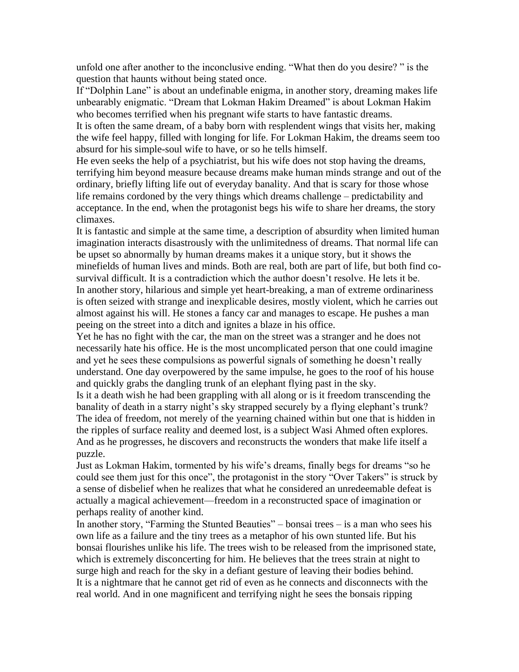unfold one after another to the inconclusive ending. "What then do you desire? " is the question that haunts without being stated once.

If "Dolphin Lane" is about an undefinable enigma, in another story, dreaming makes life unbearably enigmatic. "Dream that Lokman Hakim Dreamed" is about Lokman Hakim who becomes terrified when his pregnant wife starts to have fantastic dreams.

It is often the same dream, of a baby born with resplendent wings that visits her, making the wife feel happy, filled with longing for life. For Lokman Hakim, the dreams seem too absurd for his simple-soul wife to have, or so he tells himself.

He even seeks the help of a psychiatrist, but his wife does not stop having the dreams, terrifying him beyond measure because dreams make human minds strange and out of the ordinary, briefly lifting life out of everyday banality. And that is scary for those whose life remains cordoned by the very things which dreams challenge – predictability and acceptance. In the end, when the protagonist begs his wife to share her dreams, the story climaxes.

It is fantastic and simple at the same time, a description of absurdity when limited human imagination interacts disastrously with the unlimitedness of dreams. That normal life can be upset so abnormally by human dreams makes it a unique story, but it shows the minefields of human lives and minds. Both are real, both are part of life, but both find cosurvival difficult. It is a contradiction which the author doesn't resolve. He lets it be. In another story, hilarious and simple yet heart-breaking, a man of extreme ordinariness is often seized with strange and inexplicable desires, mostly violent, which he carries out almost against his will. He stones a fancy car and manages to escape. He pushes a man peeing on the street into a ditch and ignites a blaze in his office.

Yet he has no fight with the car, the man on the street was a stranger and he does not necessarily hate his office. He is the most uncomplicated person that one could imagine and yet he sees these compulsions as powerful signals of something he doesn't really understand. One day overpowered by the same impulse, he goes to the roof of his house and quickly grabs the dangling trunk of an elephant flying past in the sky.

Is it a death wish he had been grappling with all along or is it freedom transcending the banality of death in a starry night's sky strapped securely by a flying elephant's trunk? The idea of freedom, not merely of the yearning chained within but one that is hidden in the ripples of surface reality and deemed lost, is a subject Wasi Ahmed often explores. And as he progresses, he discovers and reconstructs the wonders that make life itself a puzzle.

Just as Lokman Hakim, tormented by his wife's dreams, finally begs for dreams "so he could see them just for this once", the protagonist in the story "Over Takers" is struck by a sense of disbelief when he realizes that what he considered an unredeemable defeat is actually a magical achievement—freedom in a reconstructed space of imagination or perhaps reality of another kind.

In another story, "Farming the Stunted Beauties" – bonsai trees – is a man who sees his own life as a failure and the tiny trees as a metaphor of his own stunted life. But his bonsai flourishes unlike his life. The trees wish to be released from the imprisoned state, which is extremely disconcerting for him. He believes that the trees strain at night to surge high and reach for the sky in a defiant gesture of leaving their bodies behind. It is a nightmare that he cannot get rid of even as he connects and disconnects with the real world. And in one magnificent and terrifying night he sees the bonsais ripping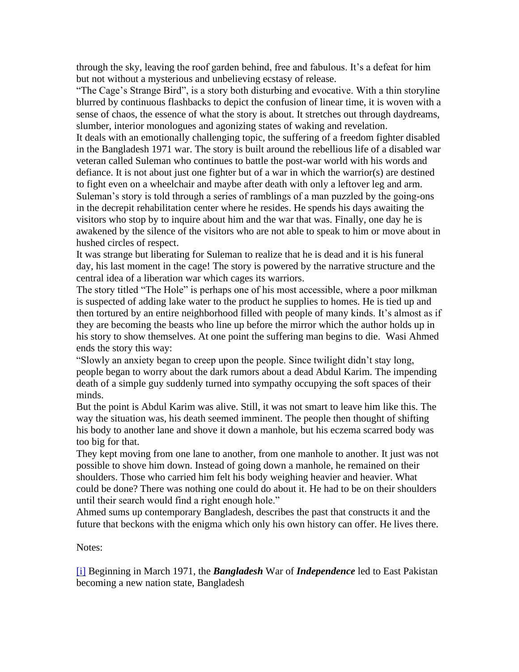through the sky, leaving the roof garden behind, free and fabulous. It's a defeat for him but not without a mysterious and unbelieving ecstasy of release.

"The Cage's Strange Bird", is a story both disturbing and evocative. With a thin storyline blurred by continuous flashbacks to depict the confusion of linear time, it is woven with a sense of chaos, the essence of what the story is about. It stretches out through daydreams, slumber, interior monologues and agonizing states of waking and revelation.

It deals with an emotionally challenging topic, the suffering of a freedom fighter disabled in the Bangladesh 1971 war. The story is built around the rebellious life of a disabled war veteran called Suleman who continues to battle the post-war world with his words and defiance. It is not about just one fighter but of a war in which the warrior(s) are destined to fight even on a wheelchair and maybe after death with only a leftover leg and arm. Suleman's story is told through a series of ramblings of a man puzzled by the going-ons in the decrepit rehabilitation center where he resides. He spends his days awaiting the visitors who stop by to inquire about him and the war that was. Finally, one day he is awakened by the silence of the visitors who are not able to speak to him or move about in hushed circles of respect.

It was strange but liberating for Suleman to realize that he is dead and it is his funeral day, his last moment in the cage! The story is powered by the narrative structure and the central idea of a liberation war which cages its warriors.

The story titled "The Hole" is perhaps one of his most accessible, where a poor milkman is suspected of adding lake water to the product he supplies to homes. He is tied up and then tortured by an entire neighborhood filled with people of many kinds. It's almost as if they are becoming the beasts who line up before the mirror which the author holds up in his story to show themselves. At one point the suffering man begins to die. Wasi Ahmed ends the story this way:

"Slowly an anxiety began to creep upon the people. Since twilight didn't stay long, people began to worry about the dark rumors about a dead Abdul Karim. The impending death of a simple guy suddenly turned into sympathy occupying the soft spaces of their minds.

But the point is Abdul Karim was alive. Still, it was not smart to leave him like this. The way the situation was, his death seemed imminent. The people then thought of shifting his body to another lane and shove it down a manhole, but his eczema scarred body was too big for that.

They kept moving from one lane to another, from one manhole to another. It just was not possible to shove him down. Instead of going down a manhole, he remained on their shoulders. Those who carried him felt his body weighing heavier and heavier. What could be done? There was nothing one could do about it. He had to be on their shoulders until their search would find a right enough hole."

Ahmed sums up contemporary Bangladesh, describes the past that constructs it and the future that beckons with the enigma which only his own history can offer. He lives there.

Notes:

[\[i\]](https://www.theantonymmag.com/wasi-ahmed-and-the-enigma-of-history-afsan-chowdhury/#_ednref1) Beginning in March 1971, the *Bangladesh* War of *Independence* led to East Pakistan becoming a new nation state, Bangladesh